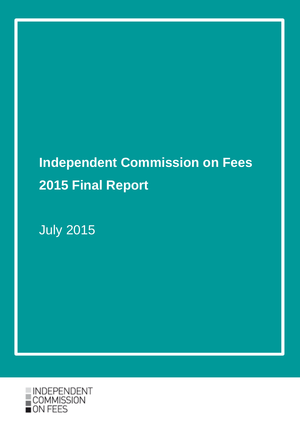# **Independent Commission on Fees 2015 Final Report**

July 2015

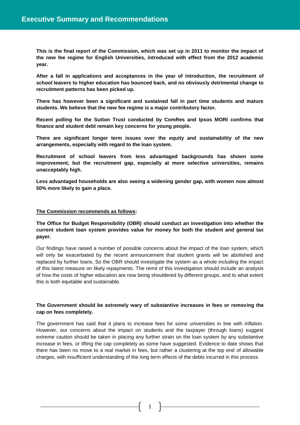**This is the final report of the Commission, which was set up in 2011 to monitor the impact of the new fee regime for English Universities, introduced with effect from the 2012 academic year.**

**After a fall in applications and acceptances in the year of introduction, the recruitment of school leavers to higher education has bounced back, and no obviously detrimental change to recruitment patterns has been picked up.**

**There has however been a significant and sustained fall in part time students and mature students. We believe that the new fee regime is a major contributory factor.**

**Recent polling for the Sutton Trust conducted by ComRes and Ipsos MORI confirms that finance and student debt remain key concerns for young people.**

**There are significant longer term issues over the equity and sustainability of the new arrangements, especially with regard to the loan system.**

**Recruitment of school leavers from less advantaged backgrounds has shown some improvement, but the recruitment gap, especially at more selective universities, remains unacceptably high.**

**Less advantaged households are also seeing a widening gender gap, with women now almost 50% more likely to gain a place.**

#### **The Commission recommends as follows:**

**The Office for Budget Responsibility (OBR) should conduct an investigation into whether the current student loan system provides value for money for both the student and general tax payer.** 

Our findings have raised a number of possible concerns about the impact of the loan system, which will only be exacerbated by the recent announcement that student grants will be abolished and replaced by further loans. So the OBR should investigate the system as a whole including the impact of this latest measure on likely repayments. The remit of this investigation should include an analysis of how the costs of higher education are now being shouldered by different groups, and to what extent this is both equitable and sustainable.

# **The Government should be extremely wary of substantive increases in fees or removing the cap on fees completely.**

The government has said that it plans to increase fees for some universities in line with inflation. However, our concerns about the impact on students and the taxpayer (through loans) suggest extreme caution should be taken in placing any further strain on the loan system by any substantive increase in fees, or lifting the cap completely as some have suggested. Evidence to date shows that there has been no move to a real market in fees, but rather a clustering at the top end of allowable charges, with insufficient understanding of the long term effects of the debts incurred in this process.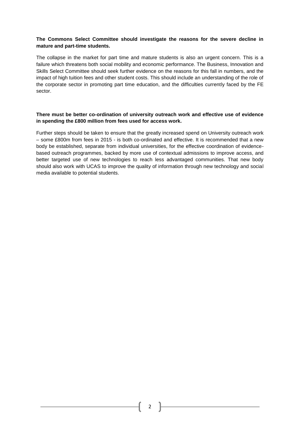# **The Commons Select Committee should investigate the reasons for the severe decline in mature and part-time students.**

The collapse in the market for part time and mature students is also an urgent concern. This is a failure which threatens both social mobility and economic performance. The Business, Innovation and Skills Select Committee should seek further evidence on the reasons for this fall in numbers, and the impact of high tuition fees and other student costs. This should include an understanding of the role of the corporate sector in promoting part time education, and the difficulties currently faced by the FE sector.

# **There must be better co-ordination of university outreach work and effective use of evidence in spending the £800 million from fees used for access work.**

Further steps should be taken to ensure that the greatly increased spend on University outreach work – some £800m from fees in 2015 - is both co-ordinated and effective. It is recommended that a new body be established, separate from individual universities, for the effective coordination of evidencebased outreach programmes, backed by more use of contextual admissions to improve access, and better targeted use of new technologies to reach less advantaged communities. That new body should also work with UCAS to improve the quality of information through new technology and social media available to potential students.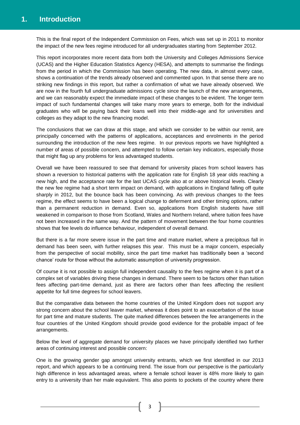This is the final report of the Independent Commission on Fees, which was set up in 2011 to monitor the impact of the new fees regime introduced for all undergraduates starting from September 2012.

This report incorporates more recent data from both the University and Colleges Admissions Service (UCAS) and the Higher Education Statistics Agency (HESA), and attempts to summarise the findings from the period in which the Commission has been operating. The new data, in almost every case, shows a continuation of the trends already observed and commented upon. In that sense there are no striking new findings in this report, but rather a confirmation of what we have already observed. We are now in the fourth full undergraduate admissions cycle since the launch of the new arrangements, and we can reasonably expect the immediate impact of these changes to be evident. The longer term impact of such fundamental changes will take many more years to emerge, both for the individual graduates who will be paying back their loans well into their middle-age and for universities and colleges as they adapt to the new financing model.

The conclusions that we can draw at this stage, and which we consider to be within our remit, are principally concerned with the patterns of applications, acceptances and enrolments in the period surrounding the introduction of the new fees regime. In our previous reports we have highlighted a number of areas of possible concern, and attempted to follow certain key indicators, especially those that might flag up any problems for less advantaged students.

Overall we have been reassured to see that demand for university places from school leavers has shown a reversion to historical patterns with the application rate for English 18 year olds reaching a new high, and the acceptance rate for the last UCAS cycle also at or above historical levels. Clearly the new fee regime had a short term impact on demand, with applications in England falling off quite sharply in 2012, but the bounce back has been convincing. As with previous changes to the fees regime, the effect seems to have been a logical change to deferment and other timing options, rather than a permanent reduction in demand. Even so, applications from English students have still weakened in comparison to those from Scotland, Wales and Northern Ireland, where tuition fees have not been increased in the same way. And the pattern of movement between the four home countries shows that fee levels do influence behaviour, independent of overall demand.

But there is a far more severe issue in the part time and mature market, where a precipitous fall in demand has been seen, with further relapses this year. This must be a major concern, especially from the perspective of social mobility, since the part time market has traditionally been a 'second chance' route for those without the automatic assumption of university progression.

Of course it is not possible to assign full independent causality to the fees regime when it is part of a complex set of variables driving these changes in demand. There seem to be factors other than tuition fees affecting part-time demand, just as there are factors other than fees affecting the resilient appetite for full time degrees for school leavers.

But the comparative data between the home countries of the United Kingdom does not support any strong concern about the school leaver market, whereas it does point to an exacerbation of the issue for part time and mature students. The quite marked differences between the fee arrangements in the four countries of the United Kingdom should provide good evidence for the probable impact of fee arrangements.

Below the level of aggregate demand for university places we have principally identified two further areas of continuing interest and possible concern:

One is the growing gender gap amongst university entrants, which we first identified in our 2013 report, and which appears to be a continuing trend. The issue from our perspective is the particularly high difference in less advantaged areas, where a female school leaver is 48% more likely to gain entry to a university than her male equivalent. This also points to pockets of the country where there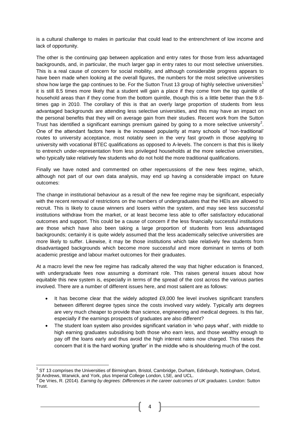is a cultural challenge to males in particular that could lead to the entrenchment of low income and lack of opportunity.

The other is the continuing gap between application and entry rates for those from less advantaged backgrounds, and, in particular, the much larger gap in entry rates to our most selective universities. This is a real cause of concern for social mobility, and although considerable progress appears to have been made when looking at the overall figures, the numbers for the most selective universities show how large the gap continues to be. For the Sutton Trust 13 group of highly selective universities<sup>1</sup> it is still 8.5 times more likely that a student will gain a place if they come from the top quintile of household areas than if they come from the bottom quintile, though this is a little better than the 9.8 times gap in 2010. The corollary of this is that an overly large proportion of students from less advantaged backgrounds are attending less selective universities, and this may have an impact on the personal benefits that they will on average gain from their studies. Recent work from the Sutton Trust has identified a significant earnings premium gained by going to a more selective university<sup>2</sup>. One of the attendant factors here is the increased popularity at many schools of 'non-traditional' routes to university acceptance, most notably seen in the very fast growth in those applying to university with vocational BTEC qualifications as opposed to A-levels. The concern is that this is likely to entrench under-representation from less privileged households at the more selective universities, who typically take relatively few students who do not hold the more traditional qualifications.

Finally we have noted and commented on other repercussions of the new fees regime, which, although not part of our own data analysis, may end up having a considerable impact on future outcomes:

The change in institutional behaviour as a result of the new fee regime may be significant, especially with the recent removal of restrictions on the numbers of undergraduates that the HEIs are allowed to recruit. This is likely to cause winners and losers within the system, and may see less successful institutions withdraw from the market, or at least become less able to offer satisfactory educational outcomes and support. This could be a cause of concern if the less financially successful institutions are those which have also been taking a large proportion of students from less advantaged backgrounds; certainly it is quite widely assumed that the less academically selective universities are more likely to suffer. Likewise, it may be those institutions which take relatively few students from disadvantaged backgrounds which become more successful and more dominant in terms of both academic prestige and labour market outcomes for their graduates.

At a macro level the new fee regime has radically altered the way that higher education is financed, with undergraduate fees now assuming a dominant role. This raises general issues about how equitable this new system is, especially in terms of the spread of the cost across the various parties involved. There are a number of different issues here, and most salient are as follows:

- It has become clear that the widely adopted £9,000 fee level involves significant transfers between different degree types since the costs involved vary widely. Typically arts degrees are very much cheaper to provide than science, engineering and medical degrees. Is this fair, especially if the earnings prospects of graduates are also different?
- The student loan system also provides significant variation in 'who pays what', with middle to high earning graduates subsidising both those who earn less, and those wealthy enough to pay off the loans early and thus avoid the high interest rates now charged. This raises the concern that it is the hard working 'grafter' in the middle who is shouldering much of the cost.

**<sup>.</sup>** <sup>1</sup> ST 13 comprises the Universities of Birmingham, Bristol, Cambridge, Durham, Edinburgh, Nottingham, Oxford, St Andrews, Warwick, and York, plus Imperial College London, LSE, and UCL.<br><sup>2</sup> De Vries, P. (2014), *Caminary*, C. (2015)

<sup>2</sup> De Vries, R. (2014). *Earning by degrees: Differences in the career outcomes of UK graduates*. London: Sutton Trust.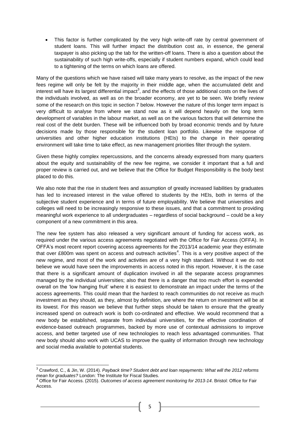This factor is further complicated by the very high write-off rate by central government of student loans. This will further impact the distribution cost as, in essence, the general taxpayer is also picking up the tab for the written-off loans. There is also a question about the sustainability of such high write-offs, especially if student numbers expand, which could lead to a tightening of the terms on which loans are offered.

Many of the questions which we have raised will take many years to resolve, as the impact of the new fees regime will only be felt by the majority in their middle age, when the accumulated debt and interest will have its largest differential impact<sup>3</sup>, and the effects of those additional costs on the lives of the individuals involved, as well as on the broader economy, are yet to be seen. We briefly review some of the research on this topic in section 7 below. However the nature of this longer term impact is very difficult to analyse from where we stand now as it will depend heavily on the long term development of variables in the labour market, as well as on the various factors that will determine the real cost of the debt burden. These will be influenced both by broad economic trends and by future decisions made by those responsible for the student loan portfolio. Likewise the response of universities and other higher education institutions (HEIs) to the change in their operating environment will take time to take effect, as new management priorities filter through the system.

Given these highly complex repercussions, and the concerns already expressed from many quarters about the equity and sustainability of the new fee regime, we consider it important that a full and proper review is carried out, and we believe that the Office for Budget Responsibility is the body best placed to do this.

We also note that the rise in student fees and assumption of greatly increased liabilities by graduates has led to increased interest in the value offered to students by the HEIs, both in terms of the subjective student experience and in terms of future employability. We believe that universities and colleges will need to be increasingly responsive to these issues, and that a commitment to providing meaningful work experience to all undergraduates – regardless of social background – could be a key component of a new commitment in this area.

The new fee system has also released a very significant amount of funding for access work, as required under the various access agreements negotiated with the Office for Fair Access (OFFA). In OFFA's most recent report covering access agreements for the 2013/14 academic year they estimate that over £800m was spent on access and outreach activities<sup>4</sup>. This is a very positive aspect of the new regime, and most of the work and activities are of a very high standard. Without it we do not believe we would have seen the improvements in access noted in this report. However, it is the case that there is a significant amount of duplication involved in all the separate access programmes managed by the individual universities; also that there is a danger that too much effort is expended overall on the 'low hanging fruit' where it is easiest to demonstrate an impact under the terms of the access agreements. This could mean that the hardest to reach communities do not receive as much investment as they should, as they, almost by definition, are where the return on investment will be at its lowest. For this reason we believe that further steps should be taken to ensure that the greatly increased spend on outreach work is both co-ordinated and effective. We would recommend that a new body be established, separate from individual universities, for the effective coordination of evidence-based outreach programmes, backed by more use of contextual admissions to improve access, and better targeted use of new technologies to reach less advantaged communities. That new body should also work with UCAS to improve the quality of information through new technology and social media available to potential students.

<sup>3</sup> Crawford, C., & Jin, W. (2014). *Payback time? Student debt and loan repayments: What will the 2012 reforms mean for graduates?* London: The Institute for Fiscal Studies.

<sup>4</sup> Office for Fair Access. (2015). *Outcomes of access agreement monitoring for 2013-14*. Bristol: Office for Fair Access.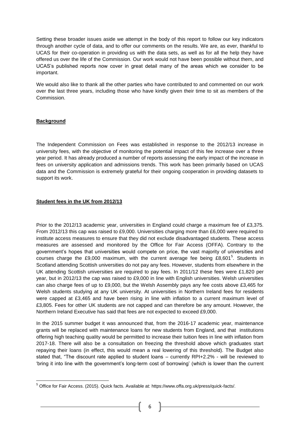Setting these broader issues aside we attempt in the body of this report to follow our key indicators through another cycle of data, and to offer our comments on the results. We are, as ever, thankful to UCAS for their co-operation in providing us with the data sets, as well as for all the help they have offered us over the life of the Commission. Our work would not have been possible without them, and UCAS's published reports now cover in great detail many of the areas which we consider to be important.

We would also like to thank all the other parties who have contributed to and commented on our work over the last three years, including those who have kindly given their time to sit as members of the Commission.

#### **Background**

**.** 

The Independent Commission on Fees was established in response to the 2012/13 increase in university fees, with the objective of monitoring the potential impact of this fee increase over a three year period. It has already produced a number of reports assessing the early impact of the increase in fees on university application and admissions trends. This work has been primarily based on UCAS data and the Commission is extremely grateful for their ongoing cooperation in providing datasets to support its work.

#### **Student fees in the UK from 2012/13**

Prior to the 2012/13 academic year, universities in England could charge a maximum fee of £3,375. From 2012/13 this cap was raised to £9,000. Universities charging more than £6,000 were required to institute access measures to ensure that they did not exclude disadvantaged students. These access measures are assessed and monitored by the Office for Fair Access (OFFA). Contrary to the government's hopes that universities would compete on price, the vast majority of universities and courses charge the £9,000 maximum, with the current average fee being  $£8,601<sup>5</sup>$ . Students in Scotland attending Scottish universities do not pay any fees. However, students from elsewhere in the UK attending Scottish universities are required to pay fees. In 2011/12 these fees were £1,820 per year, but in 2012/13 the cap was raised to £9,000 in line with English universities. Welsh universities can also charge fees of up to £9,000, but the Welsh Assembly pays any fee costs above £3,465 for Welsh students studying at any UK university. At universities in Northern Ireland fees for residents were capped at £3,465 and have been rising in line with inflation to a current maximum level of £3,805. Fees for other UK students are not capped and can therefore be any amount. However, the Northern Ireland Executive has said that fees are not expected to exceed £9,000.

In the 2015 summer budget it was announced that, from the 2016-17 academic year, maintenance grants will be replaced with maintenance loans for new students from England, and that institutions offering high teaching quality would be permitted to increase their tuition fees in line with inflation from 2017-18. There will also be a consultation on freezing the threshold above which graduates start repaying their loans (in effect, this would mean a real lowering of this threshold). The Budget also stated that, "The discount rate applied to student loans – currently RPI+2.2% - will be reviewed to 'bring it into line with the government's long-term cost of borrowing' (which is lower than the current

<sup>5</sup> Office for Fair Access. (2015). Quick facts. Available at: https://www.offa.org.uk/press/quick-facts/.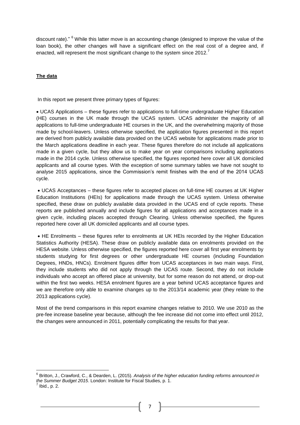discount rate)." <sup>6</sup> While this latter move is an accounting change (designed to improve the value of the loan book), the other changes will have a significant effect on the real cost of a degree and, if enacted, will represent the most significant change to the system since 2012.<sup>7</sup>

#### **The data**

In this report we present three primary types of figures:

 UCAS Applications – these figures refer to applications to full-time undergraduate Higher Education (HE) courses in the UK made through the UCAS system. UCAS administer the majority of all applications to full-time undergraduate HE courses in the UK, and the overwhelming majority of those made by school-leavers. Unless otherwise specified, the application figures presented in this report are derived from publicly available data provided on the UCAS website for applications made prior to the March applications deadline in each year. These figures therefore do not include all applications made in a given cycle, but they allow us to make year on year comparisons including applications made in the 2014 cycle. Unless otherwise specified, the figures reported here cover all UK domiciled applicants and all course types. With the exception of some summary tables we have not sought to analyse 2015 applications, since the Commission's remit finishes with the end of the 2014 UCAS cycle.

 UCAS Acceptances – these figures refer to accepted places on full-time HE courses at UK Higher Education Institutions (HEIs) for applications made through the UCAS system. Unless otherwise specified, these draw on publicly available data provided in the UCAS end of cycle reports. These reports are published annually and include figures for all applications and acceptances made in a given cycle, including places accepted through Clearing. Unless otherwise specified, the figures reported here cover all UK domiciled applicants and all course types.

 HE Enrolments – these figures refer to enrolments at UK HEIs recorded by the Higher Education Statistics Authority (HESA). These draw on publicly available data on enrolments provided on the HESA website. Unless otherwise specified, the figures reported here cover all first year enrolments by students studying for first degrees or other undergraduate HE courses (including Foundation Degrees, HNDs, HNCs). Enrolment figures differ from UCAS acceptances in two main ways. First, they include students who did not apply through the UCAS route. Second, they do not include individuals who accept an offered place at university, but for some reason do not attend, or drop-out within the first two weeks. HESA enrolment figures are a year behind UCAS acceptance figures and we are therefore only able to examine changes up to the 2013/14 academic year (they relate to the 2013 applications cycle).

Most of the trend comparisons in this report examine changes relative to 2010. We use 2010 as the pre-fee increase baseline year because, although the fee increase did not come into effect until 2012, the changes were announced in 2011, potentially complicating the results for that year.

 6 Britton, J., Crawford, C., & Dearden, L. (2015). *Analysis of the higher education funding reforms announced in*  the Summer Budget 2015. London: Institute for Fiscal Studies, p. 1.<br><sup>7</sup> Ibid. n. 2

Ibid., p. 2.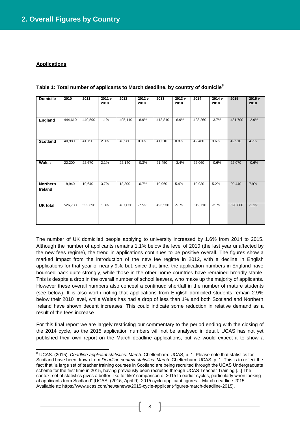#### **Applications**

**.** 

| <b>Domicile</b>            | 2010    | 2011    | 2011v<br>2010 | 2012    | 2012v<br>2010 | 2013    | 2013v<br>2010 | 2014    | 2014v<br>2010 | 2015    | 2015v<br>2010 |
|----------------------------|---------|---------|---------------|---------|---------------|---------|---------------|---------|---------------|---------|---------------|
| England                    | 444,610 | 449,590 | 1.1%          | 405,110 | $-8.9%$       | 413,810 | $-6.9%$       | 428,260 | $-3.7%$       | 431,700 | $-2.9%$       |
| <b>Scotland</b>            | 40,980  | 41,790  | 2.0%          | 40,980  | 0.0%          | 41,310  | 0.8%          | 42,460  | 3.6%          | 42,910  | 4.7%          |
| Wales                      | 22,200  | 22,670  | 2.1%          | 22,140  | $-0.3%$       | 21,450  | $-3.4%$       | 22,060  | $-0.6%$       | 22,070  | $-0.6%$       |
| <b>Northern</b><br>Ireland | 18,940  | 19,640  | 3.7%          | 18,800  | $-0.7%$       | 19,960  | 5.4%          | 19,930  | 5.2%          | 20,440  | 7.9%          |
| <b>UK total</b>            | 526,730 | 533,690 | 1.3%          | 487,030 | $-7.5%$       | 496,530 | $-5.7%$       | 512,710 | $-2.7%$       | 520,880 | $-1.1%$       |

**Table 1: Total number of applicants to March deadline, by country of domicile<sup>8</sup>**

The number of UK domiciled people applying to university increased by 1.6% from 2014 to 2015. Although the number of applicants remains 1.1% below the level of 2010 (the last year unaffected by the new fees regime), the trend in applications continues to be positive overall. The figures show a marked impact from the introduction of the new fee regime in 2012, with a decline in English applications for that year of nearly 9%, but, since that time, the application numbers in England have bounced back quite strongly, while those in the other home countries have remained broadly stable. This is despite a drop in the overall number of school leavers, who make up the majority of applicants. However these overall numbers also conceal a continued shortfall in the number of mature students (see below). It is also worth noting that applications from English domiciled students remain 2.9% below their 2010 level, while Wales has had a drop of less than 1% and both Scotland and Northern Ireland have shown decent increases. This could indicate some reduction in relative demand as a result of the fees increase.

For this final report we are largely restricting our commentary to the period ending with the closing of the 2014 cycle, so the 2015 application numbers will not be analysed in detail. UCAS has not yet published their own report on the March deadline applications, but we would expect it to show a

<sup>8</sup> UCAS. (2015). *Deadline applicant statistics: March*. Cheltenham: UCAS, p. 1. Please note that statistics for Scotland have been drawn from *Deadline context statistics: March*. Cheltenham: UCAS, p. 1. This is to reflect the fact that "a large set of teacher training courses in Scotland are being recruited through the UCAS Undergraduate scheme for the first time in 2015, having previously been recruited through UCAS Teacher Training [...] The context set of statistics gives a better 'like for like' comparison of 2015 to earlier cycles, particularly when looking at applicants from Scotland" [UCAS. (2015, April 9). 2015 cycle applicant figures – March deadline 2015. Available at: https://www.ucas.com/news/news/2015-cycle-applicant-figures-march-deadline-2015].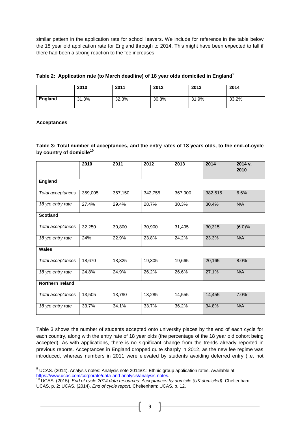similar pattern in the application rate for school leavers. We include for reference in the table below the 18 year old application rate for England through to 2014. This might have been expected to fall if there had been a strong reaction to the fee increases.

|  |  |  |  |  | Table 2: Application rate (to March deadline) of 18 year olds domiciled in England <sup>9</sup> |
|--|--|--|--|--|-------------------------------------------------------------------------------------------------|
|--|--|--|--|--|-------------------------------------------------------------------------------------------------|

|         | 2010  | 2011  | 2012  | 2013  | 2014  |
|---------|-------|-------|-------|-------|-------|
| England | 31.3% | 32.3% | 30.8% | 31.9% | 33.2% |

# **Acceptances**

## **Table 3: Total number of acceptances, and the entry rates of 18 years olds, to the end-of-cycle by country of domicile<sup>10</sup>**

|                   | 2010    | 2011    | 2012    | 2013    | 2014    | 2014 v.<br>2010 |
|-------------------|---------|---------|---------|---------|---------|-----------------|
| <b>England</b>    |         |         |         |         |         |                 |
| Total acceptances | 359,005 | 367,150 | 342,755 | 367,900 | 382,515 | 6.6%            |
| 18 y/o entry rate | 27.4%   | 29.4%   | 28.7%   | 30.3%   | 30.4%   | N/A             |
| <b>Scotland</b>   |         |         |         |         |         |                 |
| Total acceptances | 32,250  | 30,800  | 30,900  | 31,495  | 30,315  | (6.0)%          |
| 18 y/o entry rate | 24%     | 22.9%   | 23.8%   | 24.2%   | 23.3%   | N/A             |
| <b>Wales</b>      |         |         |         |         |         |                 |
| Total acceptances | 18,670  | 18,325  | 19,305  | 19,665  | 20,165  | 8.0%            |
| 18 y/o entry rate | 24.8%   | 24.9%   | 26.2%   | 26.6%   | 27.1%   | N/A             |
| Northern Ireland  |         |         |         |         |         |                 |
| Total acceptances | 13,505  | 13,790  | 13,285  | 14,555  | 14,455  | 7.0%            |
| 18 y/o entry rate | 33.7%   | 34.1%   | 33.7%   | 36.2%   | 34.8%   | N/A             |

Table 3 shows the number of students accepted onto university places by the end of each cycle for each country, along with the entry rate of 18 year olds (the percentage of the 18 year old cohort being accepted). As with applications, there is no significant change from the trends already reported in previous reports. Acceptances in England dropped quite sharply in 2012, as the new fee regime was introduced, whereas numbers in 2011 were elevated by students avoiding deferred entry (i.e. not

**<sup>.</sup>**  $9$  UCAS. (2014). Analysis notes: Analysis note 2014/01: Ethnic group application rates. Available at: [https://www.ucas.com/corporate/data-and-analysis/analysis-notes.](https://www.ucas.com/corporate/data-and-analysis/analysis-notes)

<sup>10</sup> UCAS. (2015). *End of cycle 2014 data resources: Acceptances by domicile (UK domiciled)*. Cheltenham: UCAS, p. 2; UCAS. (2014). *End of cycle report*. Cheltenham: UCAS, p. 12.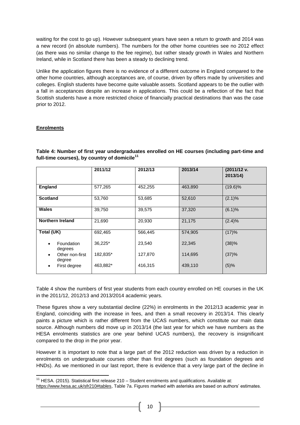waiting for the cost to go up). However subsequent years have seen a return to growth and 2014 was a new record (in absolute numbers). The numbers for the other home countries see no 2012 effect (as there was no similar change to the fee regime), but rather steady growth in Wales and Northern Ireland, while in Scotland there has been a steady to declining trend.

Unlike the application figures there is no evidence of a different outcome in England compared to the other home countries, although acceptances are, of course, driven by offers made by universities and colleges. English students have become quite valuable assets. Scotland appears to be the outlier with a fall in acceptances despite an increase in applications. This could be a reflection of the fact that Scottish students have a more restricted choice of financially practical destinations than was the case prior to 2012.

# **Enrolments**

**.** 

**Table 4: Number of first year undergraduates enrolled on HE courses (including part-time and full-time courses), by country of domicile<sup>11</sup>**

|                                    | 2011/12  | 2012/13 | 2013/14 | (2011/12 v.<br>2013/14) |
|------------------------------------|----------|---------|---------|-------------------------|
| England                            | 577,265  | 452,255 | 463,890 | $(19.6)\%$              |
| <b>Scotland</b>                    | 53,760   | 53,685  | 52,610  | $(2.1)\%$               |
| Wales                              | 39,750   | 39,575  | 37,320  | (6.1)%                  |
| <b>Northern Ireland</b>            | 21,690   | 20,930  | 21,175  | (2.4)%                  |
| Total (UK)                         | 692,465  | 566,445 | 574,905 | (17)%                   |
| Foundation<br>$\bullet$<br>degrees | 36,225*  | 23,540  | 22,345  | (38)%                   |
| Other non-first<br>٠<br>degree     | 182,835* | 127,870 | 114,695 | (37)%                   |
| First degree<br>٠                  | 463,882* | 416,315 | 439,110 | (5)%                    |

Table 4 show the numbers of first year students from each country enrolled on HE courses in the UK in the 2011/12, 2012/13 and 2013/2014 academic years.

These figures show a very substantial decline (22%) in enrolments in the 2012/13 academic year in England, coinciding with the increase in fees, and then a small recovery in 2013/14. This clearly paints a picture which is rather different from the UCAS numbers, which constitute our main data source. Although numbers did move up in 2013/14 (the last year for which we have numbers as the HESA enrolments statistics are one year behind UCAS numbers), the recovery is insignificant compared to the drop in the prior year.

However it is important to note that a large part of the 2012 reduction was driven by a reduction in enrolments on undergraduate courses other than first degrees (such as foundation degrees and HNDs). As we mentioned in our last report, there is evidence that a very large part of the decline in

 $11$  HESA. (2015). Statistical first release 210 – Student enrolments and qualifications. Available at:

[https://www.hesa.ac.uk/sfr210#tables,](https://www.hesa.ac.uk/sfr210#tables) Table 7a. Figures marked with asterisks are based on authors' estimates.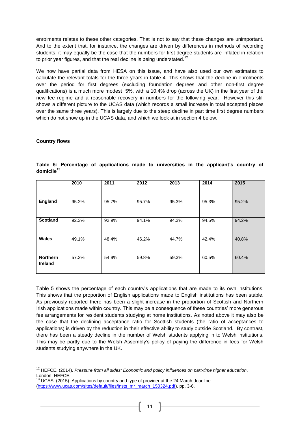enrolments relates to these other categories. That is not to say that these changes are unimportant. And to the extent that, for instance, the changes are driven by differences in methods of recording students, it may equally be the case that the numbers for first degree students are inflated in relation to prior year figures, and that the real decline is being understated.<sup>12</sup>

We now have partial data from HESA on this issue, and have also used our own estimates to calculate the relevant totals for the three years in table 4. This shows that the decline in enrolments over the period for first degrees (excluding foundation degrees and other non-first degree qualifications) is a much more modest 5%, with a 10.4% drop (across the UK) in the first year of the new fee regime and a reasonable recovery in numbers for the following year. However this still shows a different picture to the UCAS data (which records a small increase in total accepted places over the same three years). This is largely due to the steep decline in part time first degree numbers which do not show up in the UCAS data, and which we look at in section 4 below.

#### **Country flows**

|                                   | 2010  | 2011  | 2012  | 2013  | 2014  | 2015  |
|-----------------------------------|-------|-------|-------|-------|-------|-------|
|                                   |       |       |       |       |       |       |
| England                           | 95.2% | 95.7% | 95.7% | 95.3% | 95.3% | 95.2% |
| <b>Scotland</b>                   | 92.3% | 92.9% | 94.1% | 94.3% | 94.5% | 94.2% |
| <b>Wales</b>                      | 49.1% | 48.4% | 46.2% | 44.7% | 42.4% | 40.8% |
| <b>Northern</b><br><b>Ireland</b> | 57.2% | 54.9% | 59.8% | 59.3% | 60.5% | 60.4% |

|                        |  | Table 5: Percentage of applications made to universities in the applicant's country of |  |  |  |  |
|------------------------|--|----------------------------------------------------------------------------------------|--|--|--|--|
| domicile <sup>13</sup> |  |                                                                                        |  |  |  |  |

Table 5 shows the percentage of each country's applications that are made to its own institutions. This shows that the proportion of English applications made to English institutions has been stable. As previously reported there has been a slight increase in the proportion of Scottish and Northern Irish applications made within country. This may be a consequence of these countries' more generous fee arrangements for resident students studying at home institutions. As noted above it may also be the case that the declining acceptance ratio for Scottish students (the ratio of acceptances to applications) is driven by the reduction in their effective ability to study outside Scotland. By contrast, there has been a steady decline in the number of Welsh students applying in to Welsh institutions. This may be partly due to the Welsh Assembly's policy of paying the difference in fees for Welsh students studying anywhere in the UK.

**<sup>.</sup>** <sup>12</sup> HEFCE. (2014). *[Pressure from all sides: Economic and policy influences on part-time higher education](http://www.hefce.ac.uk/pubs/Year/2014/201408d/Title,92366,en.html)*. London: HEFCE.

 $13$  UCAS. (2015). Applications by country and type of provider at the 24 March deadline [\(https://www.ucas.com/sites/default/files/insts\\_mr\\_march\\_150324.pdf\)](https://www.ucas.com/sites/default/files/insts_mr_march_150324.pdf), pp. 3-6.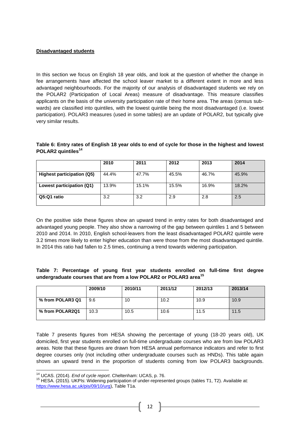# **Disadvantaged students**

In this section we focus on English 18 year olds, and look at the question of whether the change in fee arrangements have affected the school leaver market to a different extent in more and less advantaged neighbourhoods. For the majority of our analysis of disadvantaged students we rely on the POLAR2 (Participation of Local Areas) measure of disadvantage. This measure classifies applicants on the basis of the university participation rate of their home area. The areas (census subwards) are classified into quintiles, with the lowest quintile being the most disadvantaged (i.e. lowest participation). POLAR3 measures (used in some tables) are an update of POLAR2, but typically give very similar results.

#### **Table 6: Entry rates of English 18 year olds to end of cycle for those in the highest and lowest POLAR2 quintiles<sup>14</sup>**

|                            | 2010  | 2011  | 2012  | 2013  | 2014  |
|----------------------------|-------|-------|-------|-------|-------|
| Highest participation (Q5) | 44.4% | 47.7% | 45.5% | 46.7% | 45.9% |
| Lowest participation (Q1)  | 13.9% | 15.1% | 15.5% | 16.9% | 18.2% |
| Q5:Q1 ratio                | 3.2   | 3.2   | 2.9   | 2.8   | 2.5   |

On the positive side these figures show an upward trend in entry rates for both disadvantaged and advantaged young people. They also show a narrowing of the gap between quintiles 1 and 5 between 2010 and 2014. In 2010, English school-leavers from the least disadvantaged POLAR2 quintile were 3.2 times more likely to enter higher education than were those from the most disadvantaged quintile. In 2014 this ratio had fallen to 2.5 times, continuing a trend towards widening participation.

# **Table 7: Percentage of young first year students enrolled on full-time first degree undergraduate courses that are from a low POLAR2 or POLAR3 area<sup>15</sup>**

|                  | 2009/10 | 2010/11 | 2011/12 | 2012/13 | 2013/14 |
|------------------|---------|---------|---------|---------|---------|
| % from POLAR3 Q1 | 9.6     | 10      | 10.2    | 10.9    | 10.9    |
| % from POLAR2Q1  | 10.3    | 10.5    | 10.6    | 11.5    | 11.5    |

Table 7 presents figures from HESA showing the percentage of young (18-20 years old), UK domiciled, first year students enrolled on full-time undergraduate courses who are from low POLAR3 areas. Note that these figures are drawn from HESA annual performance indicators and refer to first degree courses only (not including other undergraduate courses such as HNDs). This table again shows an upward trend in the proportion of students coming from low POLAR3 backgrounds.

 $\overline{a}$ 

<sup>14</sup> UCAS. (2014). *End of cycle report*. Cheltenham: UCAS, p. 76.

 $15$  HESA. (2015). UKPIs: Widening participation of under-represented groups (tables T1, T2). Available at: [https://www.hesa.ac.uk/pis/09/10/urg\)](https://www.hesa.ac.uk/pis/09/10/urg), Table T1a.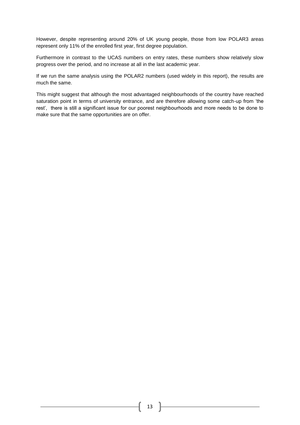However, despite representing around 20% of UK young people, those from low POLAR3 areas represent only 11% of the enrolled first year, first degree population.

Furthermore in contrast to the UCAS numbers on entry rates, these numbers show relatively slow progress over the period, and no increase at all in the last academic year.

If we run the same analysis using the POLAR2 numbers (used widely in this report), the results are much the same.

This might suggest that although the most advantaged neighbourhoods of the country have reached saturation point in terms of university entrance, and are therefore allowing some catch-up from 'the rest', there is still a significant issue for our poorest neighbourhoods and more needs to be done to make sure that the same opportunities are on offer.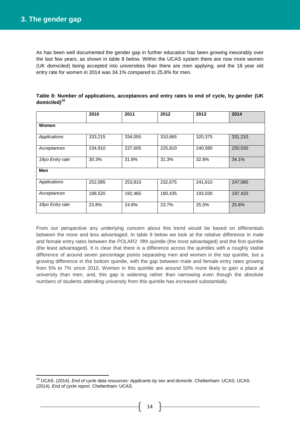As has been well documented the gender gap in further education has been growing inexorably over the last few years, as shown in table 8 below. Within the UCAS system there are now more women (UK domiciled) being accepted into universities than there are men applying, and the 18 year old entry rate for women in 2014 was 34.1% compared to 25.8% for men.

|                 | 2010    | 2011    | 2012    | 2013    | 2014    |
|-----------------|---------|---------|---------|---------|---------|
| Women           |         |         |         |         |         |
| Applications    | 333,215 | 334,055 | 310,665 | 320,375 | 331,210 |
| Acceptances     | 234,910 | 237,605 | 225,810 | 240,580 | 250,030 |
| 18yo Entry rate | 30.3%   | 31.8%   | 31.3%   | 32.8%   | 34.1%   |
| Men             |         |         |         |         |         |
| Applications    | 252,085 | 253,810 | 232,675 | 241,610 | 247.080 |
| Acceptances     | 188,520 | 192,465 | 180,435 | 193,030 | 197,420 |
| 18yo Entry rate | 23.8%   | 24.8%   | 23.7%   | 25.0%   | 25.8%   |

|                          |  |  |  | Table 8: Number of applications, acceptances and entry rates to end of cycle, by gender (UK |
|--------------------------|--|--|--|---------------------------------------------------------------------------------------------|
| domiciled) <sup>16</sup> |  |  |  |                                                                                             |

From our perspective any underlying concern about this trend would be based on differentials between the more and less advantaged. In table 9 below we look at the relative difference in male and female entry rates between the POLAR2 fifth quintile (the most advantaged) and the first quintile (the least advantaged). It is clear that there is a difference across the quintiles with a roughly stable difference of around seven percentage points separating men and women in the top quintile, but a growing difference in the bottom quintile, with the gap between male and female entry rates growing from 5% to 7% since 2010. Women in this quintile are around 50% more likely to gain a place at university than men, and, this gap is widening rather than narrowing even though the absolute numbers of students attending university from this quintile has increased substantially.

**<sup>.</sup>** <sup>16</sup> UCAS. (2014). *End of cycle data resources: Applicants by sex and domicile*. Cheltenham: UCAS; UCAS. (2014). *End of cycle report*. Cheltenham: UCAS.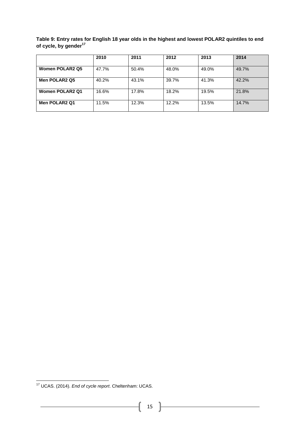**Table 9: Entry rates for English 18 year olds in the highest and lowest POLAR2 quintiles to end of cycle, by gender<sup>17</sup>**

|                        | 2010  | 2011  | 2012  | 2013  | 2014  |
|------------------------|-------|-------|-------|-------|-------|
| <b>Women POLAR2 Q5</b> | 47.7% | 50.4% | 48.0% | 49.0% | 49.7% |
| Men POLAR2 Q5          | 40.2% | 43.1% | 39.7% | 41.3% | 42.2% |
| <b>Women POLAR2 Q1</b> | 16.6% | 17.8% | 18.2% | 19.5% | 21.8% |
| Men POLAR2 Q1          | 11.5% | 12.3% | 12.2% | 13.5% | 14.7% |

**<sup>.</sup>** <sup>17</sup> UCAS. (2014). *End of cycle report*. Cheltenham: UCAS.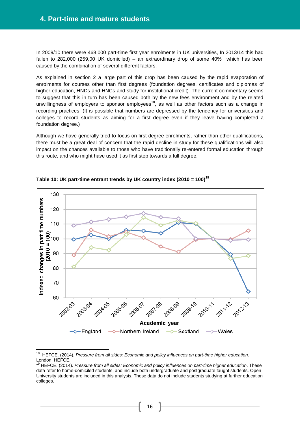In 2009/10 there were 468,000 part-time first year enrolments in UK universities, In 2013/14 this had fallen to 282,000 (259,00 UK domiciled) – an extraordinary drop of some 40% which has been caused by the combination of several different factors.

As explained in section 2 a large part of this drop has been caused by the rapid evaporation of enrolments for courses other than first degrees (foundation degrees, certificates and diplomas of higher education, HNDs and HNCs and study for institutional credit). The current commentary seems to suggest that this in turn has been caused both by the new fees environment and by the related unwillingness of employers to sponsor employees<sup>18</sup>, as well as other factors such as a change in recording practices. (It is possible that numbers are depressed by the tendency for universities and colleges to record students as aiming for a first degree even if they leave having completed a foundation degree.)

Although we have generally tried to focus on first degree enrolments, rather than other qualifications, there must be a great deal of concern that the rapid decline in study for these qualifications will also impact on the chances available to those who have traditionally re-entered formal education through this route, and who might have used it as first step towards a full degree.



#### **Table 10: UK part-time entrant trends by UK country index (2010 = 100)<sup>19</sup>**

<sup>18</sup> HEFCE. (2014). *[Pressure from all sides: Economic and policy influences on part-time higher education](http://www.hefce.ac.uk/pubs/Year/2014/201408d/Title,92366,en.html)*. London: HEFCE.

<sup>19</sup> HEFCE. (2014). *Pressure from all sides: Economic and policy influences on part-time higher education*. These data refer to home-domiciled students, and include both undergraduate and postgraduate taught students. Open University students are included in this analysis. These data do not include students studying at further education colleges.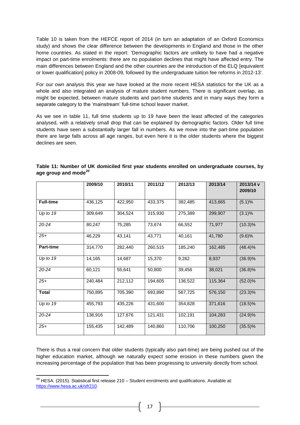Table 10 is taken from the HEFCE report of 2014 (in turn an adaptation of an Oxford Economics study) and shows the clear difference between the developments in England and those in the other home countries. As stated in the report: 'Demographic factors are unlikely to have had a negative impact on part-time enrolments: there are no population declines that might have affected entry. The main differences between England and the other countries are the introduction of the ELQ [equivalent or lower qualification] policy in 2008-09, followed by the undergraduate tuition fee reforms in 2012-13'.

For our own analysis this year we have looked at the more recent HESA statistics for the UK as a whole and also integrated an analysis of mature student numbers. There is significant overlap, as might be expected, between mature students and part-time students and in many ways they form a separate category to the 'mainstream' full-time school leaver market.

As we see in table 11, full time students up to 19 have been the least affected of the categories analysed, with a relatively small drop that can be explained by demographic factors. Older full time students have seen a substantially larger fall in numbers. As we move into the part-time population there are large falls across all age ranges, but even here it is the older students where the biggest declines are seen.

|                  | 2009/10 | 2010/11 | 2011/12 | 2012/13 | 2013/14 | 2013/14 v<br>2009/10 |
|------------------|---------|---------|---------|---------|---------|----------------------|
| <b>Full-time</b> | 436,125 | 422,950 | 433,375 | 382,485 | 413,665 | (5.1)%               |
| Up to $19$       | 309,649 | 304,524 | 315,930 | 275,389 | 299,907 | $(3.1)\%$            |
| 20-24            | 80,247  | 75,285  | 73,674  | 66,552  | 71,977  | $(10.3)\%$           |
| $25+$            | 46,229  | 43,141  | 43,771  | 40,161  | 41,780  | (9.6)%               |
| Part-time        | 314,770 | 282,440 | 260,515 | 185,240 | 162,485 | (48.4)%              |
| Up to $19$       | 14,165  | 14,687  | 15,370  | 9,262   | 8,937   | $(36.9)\%$           |
| 20-24            | 60,121  | 55,641  | 50,800  | 39,456  | 38,021  | $(36.8)\%$           |
| $25 +$           | 240,484 | 212,112 | 194,605 | 136,522 | 115,364 | $(52.0)\%$           |
| <b>Total</b>     | 750,895 | 705,390 | 693,890 | 567,725 | 576,150 | $(23.3)\%$           |
| Up to $19$       | 455,793 | 435,226 | 431,600 | 354,828 | 371,616 | $(18.5)\%$           |
| 20-24            | 138,916 | 127,676 | 121,431 | 102,191 | 104,283 | (24.9)%              |
| $25 +$           | 155,435 | 142,489 | 140,860 | 110,706 | 100,250 | $(35.5)\%$           |

| Table 11: Number of UK domiciled first year students enrolled on undergraduate courses, by |  |  |
|--------------------------------------------------------------------------------------------|--|--|
| age group and mode <sup>20</sup>                                                           |  |  |

There is thus a real concern that older students (typically also part-time) are being pushed out of the higher education market, although we naturally expect some erosion in these numbers given the increasing percentage of the population that has been progressing to university directly from school.

 $^{20}$  HESA. (2015). Statistical first release 210 – Student enrolments and qualifications. Available at: [https://www.hesa.ac.uk/sfr210.](https://www.hesa.ac.uk/sfr210)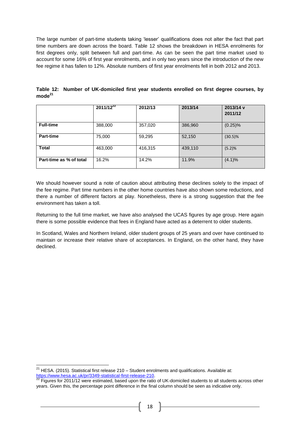The large number of part-time students taking 'lesser' qualifications does not alter the fact that part time numbers are down across the board. Table 12 shows the breakdown in HESA enrolments for first degrees only, split between full and part-time. As can be seen the part time market used to account for some 16% of first year enrolments, and in only two years since the introduction of the new fee regime it has fallen to 12%. Absolute numbers of first year enrolments fell in both 2012 and 2013.

|                         | $2011/12^{22}$ | 2012/13 | 2013/14 | 2013/14 v<br>2011/12 |
|-------------------------|----------------|---------|---------|----------------------|
| <b>Full-time</b>        | 388,000        | 357,020 | 386,960 | $(0.25)\%$           |
| <b>Part-time</b>        | 75,000         | 59,295  | 52,150  | $(30.5)\%$           |
| <b>Total</b>            | 463,000        | 416,315 | 439,110 | (5.2)%               |
| Part-time as % of total | 16.2%          | 14.2%   | 11.9%   | $(4.1)\%$            |

**Table 12: Number of UK-domiciled first year students enrolled on first degree courses, by mode<sup>21</sup>**

We should however sound a note of caution about attributing these declines solely to the impact of the fee regime. Part time numbers in the other home countries have also shown some reductions, and there a number of different factors at play. Nonetheless, there is a strong suggestion that the fee environment has taken a toll.

Returning to the full time market, we have also analysed the UCAS figures by age group. Here again there is some possible evidence that fees in England have acted as a deterrent to older students.

In Scotland, Wales and Northern Ireland, older student groups of 25 years and over have continued to maintain or increase their relative share of acceptances. In England, on the other hand, they have declined.

 $21$  HESA. (2015). Statistical first release 210 – Student enrolments and qualifications. Available at: [https://www.hesa.ac.uk/pr/3349-statistical-first-release-210.](https://www.hesa.ac.uk/pr/3349-statistical-first-release-210)

 $22$  Figures for 2011/12 were estimated, based upon the ratio of UK-domiciled students to all students across other years. Given this, the percentage point difference in the final column should be seen as indicative only.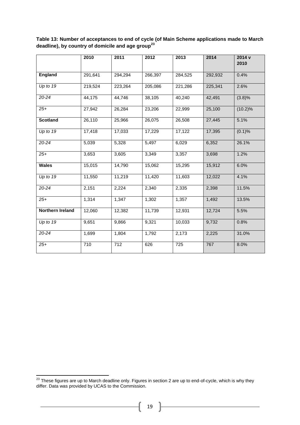|                         | 2010    | 2011    | 2012    | 2013    | 2014    | 2014 v<br>2010 |
|-------------------------|---------|---------|---------|---------|---------|----------------|
| <b>England</b>          | 291,641 | 294,294 | 266,397 | 284,525 | 292,932 | 0.4%           |
| $Up$ to 19              | 219,524 | 223,264 | 205,086 | 221,286 | 225,341 | 2.6%           |
| 20-24                   | 44,175  | 44,746  | 38,105  | 40,240  | 42,491  | (3.8)%         |
| $25+$                   | 27,942  | 26,284  | 23,206  | 22,999  | 25,100  | $(10.2)\%$     |
| <b>Scotland</b>         | 26,110  | 25,966  | 26,075  | 26,508  | 27,445  | 5.1%           |
| Up to $19$              | 17,418  | 17,033  | 17,229  | 17,122  | 17,395  | (0.1)%         |
| 20-24                   | 5,039   | 5,328   | 5,497   | 6,029   | 6,352   | 26.1%          |
| $25+$                   | 3,653   | 3,605   | 3,349   | 3,357   | 3,698   | 1.2%           |
| <b>Wales</b>            | 15,015  | 14,790  | 15,062  | 15,295  | 15,912  | 6.0%           |
| Up to $19$              | 11,550  | 11,219  | 11,420  | 11,603  | 12,022  | 4.1%           |
| 20-24                   | 2,151   | 2,224   | 2,340   | 2,335   | 2,398   | 11.5%          |
| $25+$                   | 1,314   | 1,347   | 1,302   | 1,357   | 1,492   | 13.5%          |
| <b>Northern Ireland</b> | 12,060  | 12,382  | 11,739  | 12,931  | 12,724  | 5.5%           |
| Up to 19                | 9,651   | 9,866   | 9,321   | 10,033  | 9,732   | 0.8%           |
| 20-24                   | 1,699   | 1,804   | 1,792   | 2,173   | 2,225   | 31.0%          |
| $25 +$                  | 710     | 712     | 626     | 725     | 767     | 8.0%           |

**Table 13: Number of acceptances to end of cycle (of Main Scheme applications made to March deadline), by country of domicile and age group<sup>23</sup>**

 $\mathbf{f}$ 

 $^{23}$  These figures are up to March deadline only. Figures in section 2 are up to end-of-cycle, which is why they differ. Data was provided by UCAS to the Commission.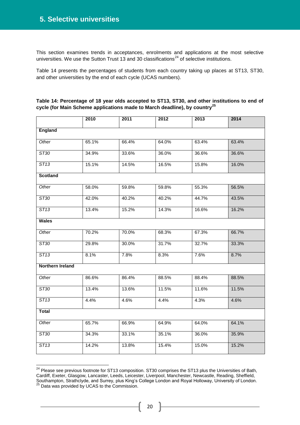This section examines trends in acceptances, enrolments and applications at the most selective universities. We use the Sutton Trust 13 and 30 classifications<sup>24</sup> of selective institutions.

Table 14 presents the percentages of students from each country taking up places at ST13, ST30, and other universities by the end of each cycle (UCAS numbers).

|                         | 2010  | 2011  | 2012  | 2013  | 2014  |
|-------------------------|-------|-------|-------|-------|-------|
| <b>England</b>          |       |       |       |       |       |
| Other                   | 65.1% | 66.4% | 64.0% | 63.4% | 63.4% |
| ST30                    | 34.9% | 33.6% | 36.0% | 36.6% | 36.6% |
| ST13                    | 15.1% | 14.5% | 16.5% | 15.8% | 16.0% |
| <b>Scotland</b>         |       |       |       |       |       |
| Other                   | 58.0% | 59.8% | 59.8% | 55.3% | 56.5% |
| ST30                    | 42.0% | 40.2% | 40.2% | 44.7% | 43.5% |
| ST13                    | 13.4% | 15.2% | 14.3% | 16.6% | 16.2% |
| <b>Wales</b>            |       |       |       |       |       |
| Other                   | 70.2% | 70.0% | 68.3% | 67.3% | 66.7% |
| ST30                    | 29.8% | 30.0% | 31.7% | 32.7% | 33.3% |
| ST13                    | 8.1%  | 7.8%  | 8.3%  | 7.6%  | 8.7%  |
| <b>Northern Ireland</b> |       |       |       |       |       |
| Other                   | 86.6% | 86.4% | 88.5% | 88.4% | 88.5% |
| ST30                    | 13.4% | 13.6% | 11.5% | 11.6% | 11.5% |
| ST13                    | 4.4%  | 4.6%  | 4.4%  | 4.3%  | 4.6%  |
| <b>Total</b>            |       |       |       |       |       |
| Other                   | 65.7% | 66.9% | 64.9% | 64.0% | 64.1% |
| ST30                    | 34.3% | 33.1% | 35.1% | 36.0% | 35.9% |
| ST13                    | 14.2% | 13.8% | 15.4% | 15.0% | 15.2% |

| Table 14: Percentage of 18 year olds accepted to ST13, ST30, and other institutions to end of |  |
|-----------------------------------------------------------------------------------------------|--|
| cycle (for Main Scheme applications made to March deadline), by country <sup>25</sup>         |  |

<sup>&</sup>lt;sup>24</sup> Please see previous footnote for ST13 composition. ST30 comprises the ST13 plus the Universities of Bath, Cardiff, Exeter, Glasgow, Lancaster, Leeds, Leicester, Liverpool, Manchester, Newcastle, Reading, Sheffield, Southampton, Strathclyde, and Surrey, December, Everpool, Marionesier, Newcastle, Reading, Shemeth, Southampton, Strathclyde, and Surrey, plus King's College London and Royal Holloway, University of London.

Data was provided by UCAS to the Commission.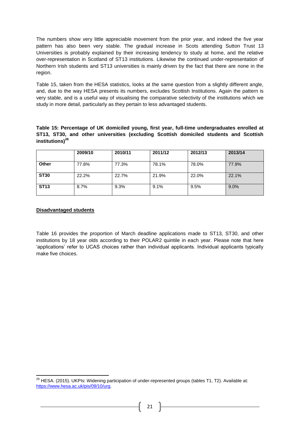The numbers show very little appreciable movement from the prior year, and indeed the five year pattern has also been very stable. The gradual increase in Scots attending Sutton Trust 13 Universities is probably explained by their increasing tendency to study at home, and the relative over-representation in Scotland of ST13 institutions. Likewise the continued under-representation of Northern Irish students and ST13 universities is mainly driven by the fact that there are none in the region.

Table 15, taken from the HESA statistics, looks at the same question from a slightly different angle, and, due to the way HESA presents its numbers, excludes Scottish Institutions. Again the pattern is very stable, and is a useful way of visualising the comparative selectivity of the institutions which we study in more detail, particularly as they pertain to less advantaged students.

**Table 15: Percentage of UK domiciled young, first year, full-time undergraduates enrolled at ST13, ST30, and other universities (excluding Scottish domiciled students and Scottish institutions)<sup>26</sup>**

|             | 2009/10 | 2010/11 | 2011/12 | 2012/13 | 2013/14 |
|-------------|---------|---------|---------|---------|---------|
| Other       | 77.8%   | 77.3%   | 78.1%   | 78.0%   | 77.9%   |
| <b>ST30</b> | 22.2%   | 22.7%   | 21.9%   | 22.0%   | 22.1%   |
| <b>ST13</b> | 8.7%    | 9.3%    | 9.1%    | 9.5%    | 9.0%    |

#### **Disadvantaged students**

**.** 

Table 16 provides the proportion of March deadline applications made to ST13, ST30, and other institutions by 18 year olds according to their POLAR2 quintile in each year. Please note that here 'applications' refer to UCAS choices rather than individual applicants. Individual applicants typically make five choices.

 $^{26}$  HESA. (2015). UKPIs: Widening participation of under-represented groups (tables T1, T2). Available at: [https://www.hesa.ac.uk/pis/09/10/urg.](https://www.hesa.ac.uk/pis/09/10/urg)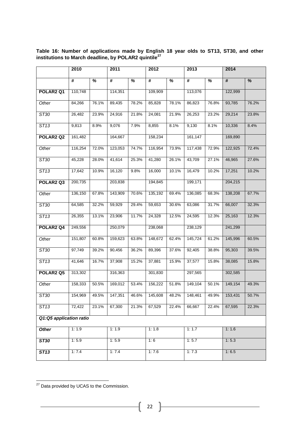|                                   | 2010    |       | 2011    |       | 2012    |       | 2013                 |       | 2014    |       |
|-----------------------------------|---------|-------|---------|-------|---------|-------|----------------------|-------|---------|-------|
|                                   | #       | %     | #       | %     | #       | %     | #                    | %     | #       | %     |
| POLAR2 Q1                         | 110,748 |       | 114,351 |       | 109,909 |       | 113,076              |       | 122,999 |       |
| Other                             | 84,266  | 76.1% | 89,435  | 78.2% | 85,828  | 78.1% | 86,823               | 76.8% | 93,785  | 76.2% |
| ST30                              | 26,482  | 23.9% | 24,916  | 21.8% | 24,081  | 21.9% | 26,253               | 23.2% | 29,214  | 23.8% |
| ST13                              | 9,813   | 8.9%  | 9,076   | 7.9%  | 8,855   | 8.1%  | 9,130                | 8.1%  | 10,336  | 8.4%  |
| POLAR2 Q2                         | 161,482 |       | 164,667 |       | 158,234 |       | 161,147              |       | 169,890 |       |
| Other                             | 116,254 | 72.0% | 123,053 | 74.7% | 116,954 | 73.9% | 117,438              | 72.9% | 122,925 | 72.4% |
| ST30                              | 45,228  | 28.0% | 41,614  | 25.3% | 41,280  | 26.1% | 43,709               | 27.1% | 46,965  | 27.6% |
| ST13                              | 17,642  | 10.9% | 16,120  | 9.8%  | 16,000  | 10.1% | 16,479               | 10.2% | 17,251  | 10.2% |
| POLAR <sub>2</sub> Q <sub>3</sub> | 200,735 |       | 203,838 |       | 194,845 |       | 199,171              |       | 204,215 |       |
| Other                             | 136,150 | 67.8% | 143,909 | 70.6% | 135,192 | 69.4% | 136,085              | 68.3% | 138,208 | 67.7% |
| ST30                              | 64,585  | 32.2% | 59,929  | 29.4% | 59,653  | 30.6% | 63,086               | 31.7% | 66,007  | 32.3% |
| ST13                              | 26,355  | 13.1% | 23,906  | 11.7% | 24,328  | 12.5% | 24,595               | 12.3% | 25,163  | 12.3% |
| POLAR <sub>2</sub> Q <sub>4</sub> | 249,556 |       | 250,079 |       | 238,068 |       | 238,129              |       | 241,299 |       |
| Other                             | 151,807 | 60.8% | 159,623 | 63.8% | 148,672 | 62.4% | 145,724              | 61.2% | 145,996 | 60.5% |
| ST30                              | 97,749  | 39.2% | 90,456  | 36.2% | 89,396  | 37.6% | 92,405               | 38.8% | 95,303  | 39.5% |
| ST13                              | 41,646  | 16.7% | 37,908  | 15.2% | 37,881  | 15.9% | 37,577               | 15.8% | 38,085  | 15.8% |
| POLAR <sub>2</sub> Q <sub>5</sub> | 313,302 |       | 316,363 |       | 301,830 |       | 297,565              |       | 302,585 |       |
| Other                             | 158,333 | 50.5% | 169,012 | 53.4% | 156,222 | 51.8% | $\overline{149,}104$ | 50.1% | 149,154 | 49.3% |
| ST30                              | 154,969 | 49.5% | 147,351 | 46.6% | 145,608 | 48.2% | 148,461              | 49.9% | 153,431 | 50.7% |
| ST13                              | 72,422  | 23.1% | 67,300  | 21.3% | 67,529  | 22.4% | 66,667               | 22.4% | 67,595  | 22.3% |
| Q1:Q5 application ratio           |         |       |         |       |         |       |                      |       |         |       |
| <b>Other</b>                      | 1:1.9   |       | 1:1.9   |       | 1:1.8   |       | 1:1.7                |       | 1:1.6   |       |
| <b>ST30</b>                       | 1:5.9   |       | 1:5.9   |       | 1:6     |       | 1:5.7                |       | 1:5.3   |       |
| <b>ST13</b>                       | 1:7.4   |       | 1:7.4   |       | 1:7.6   |       | 1:7.3                |       | 1:6.5   |       |

**Table 16: Number of applications made by English 18 year olds to ST13, ST30, and other institutions to March deadline, by POLAR2 quintile<sup>27</sup>**

<u> 1980 - Johann Barn, mars ann an t-Amhair Aonaich an t-Aonaich an t-Aonaich ann an t-Aonaich ann an t-Aonaich</u>

**<sup>.</sup>** <sup>27</sup> Data provided by UCAS to the Commission.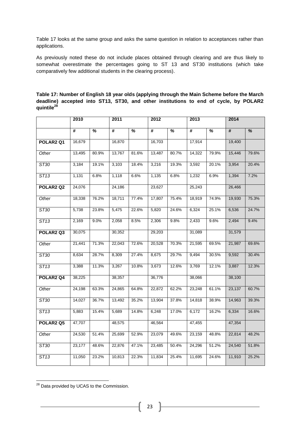Table 17 looks at the same group and asks the same question in relation to acceptances rather than applications.

As previously noted these do not include places obtained through clearing and are thus likely to somewhat overestimate the percentages going to ST 13 and ST30 institutions (which take comparatively few additional students in the clearing process).

|                                   | 2010            |                          | 2011   |       | 2012                        |                          | 2013   |       | 2014   |                          |
|-----------------------------------|-----------------|--------------------------|--------|-------|-----------------------------|--------------------------|--------|-------|--------|--------------------------|
|                                   | $\overline{\#}$ | $\overline{\mathcal{U}}$ | #      | %     | $\overline{\boldsymbol{t}}$ | $\overline{\mathcal{C}}$ | #      | %     | #      | $\overline{\frac{9}{6}}$ |
| POLAR <sub>2</sub> Q1             | 16,679          |                          | 16,870 |       | 16,703                      |                          | 17,914 |       | 19,400 |                          |
| Other                             | 13,495          | 80.9%                    | 13,767 | 81.6% | 13,487                      | 80.7%                    | 14,322 | 79.9% | 15,446 | 79.6%                    |
| ST30                              | 3,184           | 19.1%                    | 3,103  | 18.4% | 3,216                       | 19.3%                    | 3,592  | 20.1% | 3,954  | 20.4%                    |
| ST13                              | 1,131           | 6.8%                     | 1,118  | 6.6%  | 1,135                       | 6.8%                     | 1,232  | 6.9%  | 1,394  | 7.2%                     |
| POLAR <sub>2</sub> Q <sub>2</sub> | 24,076          |                          | 24,186 |       | 23,627                      |                          | 25,243 |       | 26,466 |                          |
| Other                             | 18,338          | 76.2%                    | 18,711 | 77.4% | 17,807                      | 75.4%                    | 18,919 | 74.9% | 19,930 | 75.3%                    |
| ST30                              | 5,738           | 23.8%                    | 5,475  | 22.6% | 5,820                       | 24.6%                    | 6,324  | 25.1% | 6,536  | 24.7%                    |
| ST13                              | 2,169           | 9.0%                     | 2,058  | 8.5%  | 2,306                       | 9.8%                     | 2,433  | 9.6%  | 2,494  | 9.4%                     |
| POLAR <sub>2</sub> Q <sub>3</sub> | 30,075          |                          | 30,352 |       | 29,203                      |                          | 31,089 |       | 31,579 |                          |
| Other                             | 21,441          | 71.3%                    | 22,043 | 72.6% | 20,528                      | 70.3%                    | 21,595 | 69.5% | 21,987 | 69.6%                    |
| ST30                              | 8,634           | 28.7%                    | 8,309  | 27.4% | 8,675                       | 29.7%                    | 9,494  | 30.5% | 9,592  | 30.4%                    |
| ST13                              | 3,388           | 11.3%                    | 3,267  | 10.8% | 3,673                       | 12.6%                    | 3,769  | 12.1% | 3,887  | 12.3%                    |
| POLAR <sub>2</sub> Q <sub>4</sub> | 38,225          |                          | 38,357 |       | 36,776                      |                          | 38,066 |       | 38,100 |                          |
| Other                             | 24,198          | 63.3%                    | 24,865 | 64.8% | 22,872                      | 62.2%                    | 23,248 | 61.1% | 23,137 | 60.7%                    |
| ST30                              | 14,027          | 36.7%                    | 13,492 | 35.2% | 13,904                      | 37.8%                    | 14,818 | 38.9% | 14,963 | 39.3%                    |
| ST13                              | 5,883           | 15.4%                    | 5,689  | 14.8% | 6,248                       | 17.0%                    | 6,172  | 16.2% | 6,334  | 16.6%                    |
| POLAR <sub>2</sub> Q <sub>5</sub> | 47,707          |                          | 48,575 |       | 46,564                      |                          | 47,455 |       | 47,354 |                          |
| Other                             | 24,530          | 51.4%                    | 25,699 | 52.9% | 23,079                      | 49.6%                    | 23,159 | 48.8% | 22,814 | 48.2%                    |
| ST30                              | 23,177          | 48.6%                    | 22,876 | 47.1% | 23,485                      | 50.4%                    | 24,296 | 51.2% | 24,540 | 51.8%                    |
| ST13                              | 11,050          | 23.2%                    | 10,813 | 22.3% | 11,834                      | 25.4%                    | 11,695 | 24.6% | 11,910 | 25.2%                    |

**Table 17: Number of English 18 year olds (applying through the Main Scheme before the March deadline) accepted into ST13, ST30, and other institutions to end of cycle, by POLAR2 quintile<sup>28</sup>**

**<sup>.</sup>** <sup>28</sup> Data provided by UCAS to the Commission.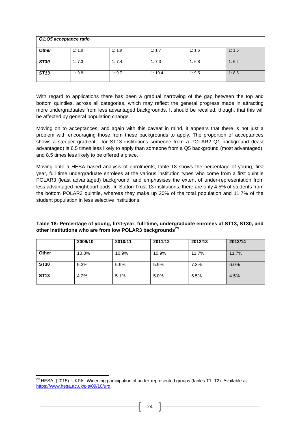|              | Q1:Q5 acceptance ratio |       |        |       |       |
|--------------|------------------------|-------|--------|-------|-------|
| <b>Other</b> | 1:1.8                  | 1:1.9 | 1:1.7  | 1:1.6 | 1:1.5 |
| <b>ST30</b>  | 1:7.3                  | 1:7.4 | 1:7.3  | 1:6.8 | 1:6.2 |
| <b>ST13</b>  | 1:9.8                  | 1:9.7 | 1:10.4 | 1:9.5 | 1:8.5 |

With regard to applications there has been a gradual narrowing of the gap between the top and bottom quintiles, across all categories, which may reflect the general progress made in attracting more undergraduates from less advantaged backgrounds. It should be recalled, though, that this will be affected by general population change.

Moving on to acceptances, and again with this caveat in mind, it appears that there is not just a problem with encouraging those from these backgrounds to apply. The proportion of acceptances shows a steeper gradient: for ST13 institutions someone from a POLAR2 Q1 background (least advantaged) is 6.5 times less likely to apply than someone from a Q5 background (most advantaged), and 8.5 times less likely to be offered a place.

Moving onto a HESA based analysis of enrolments, table 18 shows the percentage of young, first year, full time undergraduate enrolees at the various institution types who come from a first quintile POLAR3 (least advantaged) background, and emphasises the extent of under-representation from less advantaged neighbourhoods. In Sutton Trust 13 institutions, there are only 4.5% of students from the bottom POLAR3 quintile, whereas they make up 20% of the total population and 11.7% of the student population in less selective institutions.

| Table 18: Percentage of young, first-year, full-time, undergraduate enrolees at ST13, ST30, and |  |
|-------------------------------------------------------------------------------------------------|--|
| other institutions who are from low POLAR3 backgrounds <sup>29</sup>                            |  |

|              | 2009/10 | 2010/11 | 2011/12 | 2012/13 | 2013/14 |
|--------------|---------|---------|---------|---------|---------|
| <b>Other</b> | 10.8%   | 10.9%   | 10.9%   | 11.7%   | 11.7%   |
| <b>ST30</b>  | 5.3%    | 5.9%    | 5.9%    | 7.3%    | 6.0%    |
| <b>ST13</b>  | 4.2%    | 5.1%    | 5.0%    | 5.5%    | 4.5%    |

 $^{29}$  HESA. (2015). UKPIs: Widening participation of under-represented groups (tables T1, T2). Available at: [https://www.hesa.ac.uk/pis/09/10/urg.](https://www.hesa.ac.uk/pis/09/10/urg)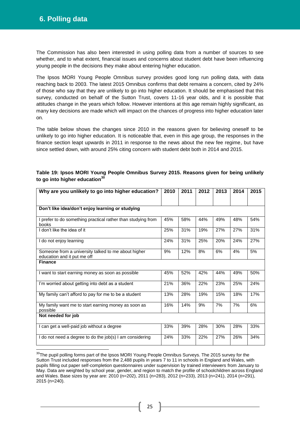**.** 

The Commission has also been interested in using polling data from a number of sources to see whether, and to what extent, financial issues and concerns about student debt have been influencing young people in the decisions they make about entering higher education.

The Ipsos MORI Young People Omnibus survey provides good long run polling data, with data reaching back to 2003. The latest 2015 Omnibus confirms that debt remains a concern, cited by 24% of those who say that they are unlikely to go into higher education. It should be emphasised that this survey, conducted on behalf of the Sutton Trust, covers 11-16 year olds, and it is possible that attitudes change in the years which follow. However intentions at this age remain highly significant, as many key decisions are made which will impact on the chances of progress into higher education later on.

The table below shows the changes since 2010 in the reasons given for believing oneself to be unlikely to go into higher education. It is noticeable that, even in this age group, the responses in the finance section leapt upwards in 2011 in response to the news about the new fee regime, but have since settled down, with around 25% citing concern with student debt both in 2014 and 2015.

| Why are you unlikely to go into higher education?                                  | 2010 | 2011 | 2012 | 2013 | 2014 | 2015 |
|------------------------------------------------------------------------------------|------|------|------|------|------|------|
|                                                                                    |      |      |      |      |      |      |
| Don't like idea/don't enjoy learning or studying                                   |      |      |      |      |      |      |
| I prefer to do something practical rather than studying from<br>books              | 45%  | 58%  | 44%  | 49%  | 48%  | 54%  |
| I don't like the idea of it                                                        | 25%  | 31%  | 19%  | 27%  | 27%  | 31%  |
| I do not enjoy learning                                                            | 24%  | 31%  | 25%  | 20%  | 24%  | 27%  |
| Someone from a university talked to me about higher<br>education and it put me off | 9%   | 12%  | 8%   | 6%   | 4%   | 5%   |
| <b>Finance</b>                                                                     |      |      |      |      |      |      |
| I want to start earning money as soon as possible                                  | 45%  | 52%  | 42%  | 44%  | 49%  | 50%  |
| I'm worried about getting into debt as a student                                   | 21%  | 36%  | 22%  | 23%  | 25%  | 24%  |
| My family can't afford to pay for me to be a student                               |      | 28%  | 19%  | 15%  | 18%  | 17%  |
| My family want me to start earning money as soon as<br>possible                    |      | 14%  | 9%   | 7%   | 7%   | 6%   |
| Not needed for job                                                                 |      |      |      |      |      |      |
| I can get a well-paid job without a degree                                         | 33%  | 39%  | 28%  | 30%  | 28%  | 33%  |
| I do not need a degree to do the job(s) I am considering                           | 24%  | 33%  | 22%  | 27%  | 26%  | 34%  |

## **Table 19: Ipsos MORI Young People Omnibus Survey 2015. Reasons given for being unlikely to go into higher education<sup>30</sup>**

<sup>&</sup>lt;sup>30</sup>The pupil polling forms part of the Ipsos MORI Young People Omnibus Surveys. The 2015 survey for the Sutton Trust included responses from the 2,488 pupils in years 7 to 11 in schools in England and Wales, with pupils filling out paper self-completion questionnaires under supervision by trained interviewers from January to May. Data are weighted by school year, gender, and region to match the profile of schoolchildren across England and Wales. Base sizes by year are: 2010 (n=202), 2011 (n=283), 2012 (n=233), 2013 (n=241), 2014 (n=291), 2015 (n=240).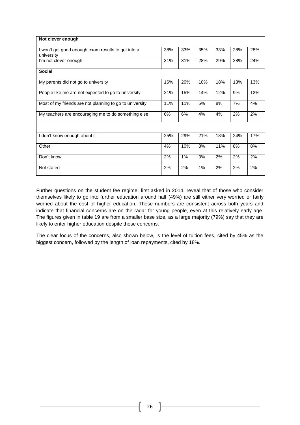| Not clever enough                                       |     |     |       |     |     |     |
|---------------------------------------------------------|-----|-----|-------|-----|-----|-----|
|                                                         |     |     |       |     |     |     |
| I won't get good enough exam results to get into a      | 38% | 33% | 35%   | 33% | 28% | 28% |
| university                                              |     |     |       |     |     |     |
| I'm not clever enough                                   | 31% | 31% | 28%   | 29% | 28% | 24% |
|                                                         |     |     |       |     |     |     |
| <b>Social</b>                                           |     |     |       |     |     |     |
| My parents did not go to university                     | 16% | 20% | 10%   | 18% | 13% | 13% |
|                                                         |     |     |       |     |     |     |
| People like me are not expected to go to university     | 21% | 15% | 14%   | 12% | 9%  | 12% |
|                                                         |     |     |       |     |     |     |
| Most of my friends are not planning to go to university | 11% | 11% | 5%    | 8%  | 7%  | 4%  |
| My teachers are encouraging me to do something else     | 6%  | 6%  | 4%    | 4%  | 2%  | 2%  |
|                                                         |     |     |       |     |     |     |
|                                                         |     |     |       |     |     |     |
|                                                         |     |     |       |     |     |     |
| I don't know enough about it                            | 25% | 29% | 21%   | 18% | 24% | 17% |
| Other                                                   | 4%  | 10% | 8%    | 11% | 8%  | 8%  |
|                                                         |     |     |       |     |     |     |
| Don't know                                              | 2%  | 1%  | 3%    | 2%  | 2%  | 2%  |
|                                                         |     |     |       |     |     |     |
| Not stated                                              | 2%  | 2%  | $1\%$ | 2%  | 2%  | 2%  |
|                                                         |     |     |       |     |     |     |

Further questions on the student fee regime, first asked in 2014, reveal that of those who consider themselves likely to go into further education around half (49%) are still either very worried or fairly worried about the cost of higher education. These numbers are consistent across both years and indicate that financial concerns are on the radar for young people, even at this relatively early age. The figures given in table 19 are from a smaller base size, as a large majority (79%) say that they are likely to enter higher education despite these concerns.

The clear focus of the concerns, also shown below, is the level of tuition fees, cited by 45% as the biggest concern, followed by the length of loan repayments, cited by 18%.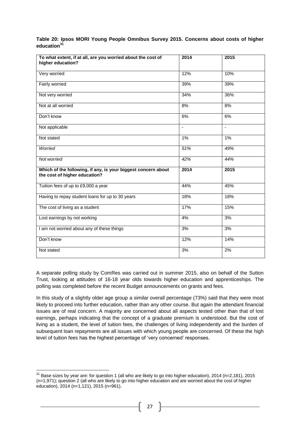| Table 20: Ipsos MORI Young People Omnibus Survey 2015. Concerns about costs of higher |  |  |  |  |  |
|---------------------------------------------------------------------------------------|--|--|--|--|--|
| education <sup>31</sup>                                                               |  |  |  |  |  |

| To what extent, if at all, are you worried about the cost of<br>higher education?              | 2014  | $\frac{1}{2015}$ |
|------------------------------------------------------------------------------------------------|-------|------------------|
| Very worried                                                                                   | 12%   | 10%              |
| Fairly worried                                                                                 | 39%   | 39%              |
| Not very worried                                                                               | 34%   | 36%              |
| Not at all worried                                                                             | 8%    | 8%               |
| Don't know                                                                                     | 6%    | 6%               |
| Not applicable                                                                                 |       | $\blacksquare$   |
| Not stated                                                                                     | $1\%$ | $1\%$            |
| Worried                                                                                        | 51%   | 49%              |
| Not worried                                                                                    | 42%   | 44%              |
| Which of the following, if any, is your biggest concern about<br>the cost of higher education? | 2014  | 2015             |
| Tuition fees of up to £9,000 a year                                                            | 44%   | 45%              |
| Having to repay student loans for up to 30 years                                               | 18%   | 18%              |
| The cost of living as a student                                                                | 17%   | 15%              |
| Lost earnings by not working                                                                   | 4%    | 3%               |
| I am not worried about any of these things                                                     | 3%    | 3%               |
| Don't know                                                                                     | 12%   | 14%              |
| Not stated                                                                                     | 3%    | 2%               |

A separate polling study by ComRes was carried out in summer 2015, also on behalf of the Sutton Trust, looking at attitudes of 16-18 year olds towards higher education and apprenticeships. The polling was completed before the recent Budget announcements on grants and fees.

In this study of a slightly older age group a similar overall percentage (73%) said that they were most likely to proceed into further education, rather than any other course. But again the attendant financial issues are of real concern. A majority are concerned about all aspects tested other than that of lost earnings, perhaps indicating that the concept of a graduate premium is understood. But the cost of living as a student, the level of tuition fees, the challenges of living independently and the burden of subsequent loan repayments are all issues with which young people are concerned. Of these the high level of tuition fees has the highest percentage of 'very concerned' responses.

 $\overline{a}$ 

 $31$  Base sizes by year are: for question 1 (all who are likely to go into higher education), 2014 (n=2,181), 2015 (n=1,971); question 2 (all who are likely to go into higher education and are worried about the cost of higher education), 2014 (n=1,121), 2015 (n=961).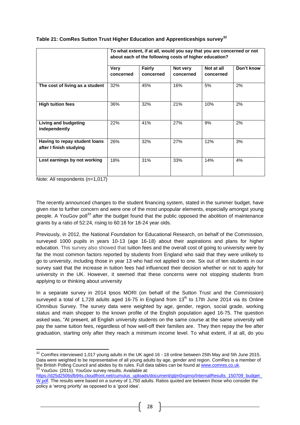|                                                          | To what extent, if at all, would you say that you are concerned or not<br>about each of the following costs of higher education? |                     |                       |                         |            |  |  |
|----------------------------------------------------------|----------------------------------------------------------------------------------------------------------------------------------|---------------------|-----------------------|-------------------------|------------|--|--|
|                                                          | <b>Very</b><br>concerned                                                                                                         | Fairly<br>concerned | Not very<br>concerned | Not at all<br>concerned | Don't know |  |  |
| The cost of living as a student                          | 32%                                                                                                                              | 45%                 | 16%                   | 5%                      | 2%         |  |  |
| <b>High tuition fees</b>                                 | 36%                                                                                                                              | 32%                 | 21%                   | 10%                     | 2%         |  |  |
| <b>Living and budgeting</b><br>independently             | 22%                                                                                                                              | 41%                 | 27%                   | 9%                      | 2%         |  |  |
| Having to repay student loans<br>after I finish studying | 26%                                                                                                                              | 32%                 | 27%                   | 12%                     | 3%         |  |  |
| Lost earnings by not working                             | 18%                                                                                                                              | 31%                 | 33%                   | 14%                     | 4%         |  |  |

# **Table 21: ComRes Sutton Trust Higher Education and Apprenticeships survey<sup>32</sup>**

Note: All respondents (n=1,017)

**.** 

The recently announced changes to the student financing system, stated in the summer budget, have given rise to further concern and were one of the most unpopular elements, especially amongst young people. A YouGov poll<sup>33</sup> after the budget found that the public opposed the abolition of maintenance grants by a ratio of 52:24, rising to 60:16 for 18-24 year olds.

Previously, in 2012, the National Foundation for Educational Research, on behalf of the Commission, surveyed 1000 pupils in years 10-13 (age 16-18) about their aspirations and plans for higher education. This survey also showed that tuition fees and the overall cost of going to university were by far the most common factors reported by students from England who said that they were unlikely to go to university, including those in year 13 who had not applied to one. Six out of ten students in our survey said that the increase in tuition fees had influenced their decision whether or not to apply for university in the UK. However, it seemed that these concerns were not stopping students from applying to or thinking about university

In a separate survey in 2014 Ipsos MORI (on behalf of the Sutton Trust and the Commission) surveyed a total of 1,728 adults aged 16-75 in England from  $13<sup>th</sup>$  to 17th June 2014 via its Online iOmnibus Survey. The survey data were weighted by age, gender, region, social grade, working status and main shopper to the known profile of the English population aged 16-75. The question asked was, "At present, all English university students on the same course at the same university will pay the same tuition fees, regardless of how well-off their families are. They then repay the fee after graduation, starting only after they reach a minimum income level. To what extent, if at all, do you

 $32$  ComRes interviewed 1,017 young adults in the UK aged 16 - 18 online between 25th May and 5th June 2015. Data were weighted to be representative of all young adults by age, gender and region. ComRes is a member of the British Polling Council and abides by its rules. Full data tables can be found at [www.comres.co.uk.](http://www.comres.co.uk/) 33 YouGov. (2015). YouGov survey results. Available at:

https://d25d2506sfb94s.cloudfront.net/cumulus\_uploads/document/gtjm0xqimo/InternalResults\_150709\_budget [W.pdf.](https://d25d2506sfb94s.cloudfront.net/cumulus_uploads/document/gtjm0xqimo/InternalResults_150709_budget_W.pdf) The results were based on a survey of 1,750 adults. Ratios quoted are between those who consider the policy a 'wrong priority' as opposed to a 'good idea'.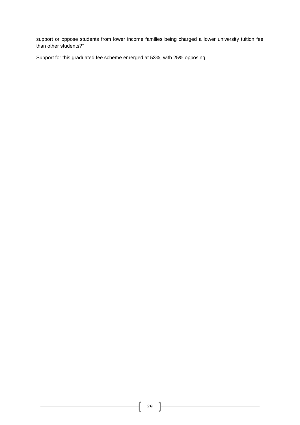support or oppose students from lower income families being charged a lower university tuition fee than other students?"

Support for this graduated fee scheme emerged at 53%, with 25% opposing.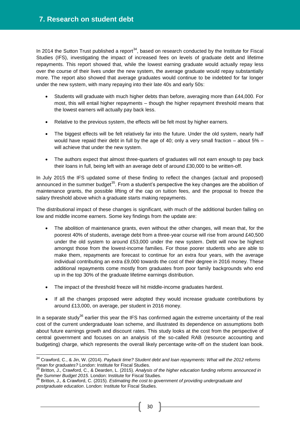In 2014 the Sutton Trust published a report<sup>34</sup>, based on research conducted by the Institute for Fiscal Studies (IFS), investigating the impact of increased fees on levels of graduate debt and lifetime repayments. This report showed that, while the lowest earning graduate would actually repay less over the course of their lives under the new system, the average graduate would repay substantially more. The report also showed that average graduates would continue to be indebted for far longer under the new system, with many repaying into their late 40s and early 50s:

- Students will graduate with much higher debts than before, averaging more than £44,000. For most, this will entail higher repayments – though the higher repayment threshold means that the lowest earners will actually pay back less.
- Relative to the previous system, the effects will be felt most by higher earners.
- The biggest effects will be felt relatively far into the future. Under the old system, nearly half would have repaid their debt in full by the age of 40; only a very small fraction – about 5% – will achieve that under the new system.
- The authors expect that almost three-quarters of graduates will not earn enough to pay back their loans in full, being left with an average debt of around £30,000 to be written-off.

In July 2015 the IFS updated some of these finding to reflect the changes (actual and proposed) announced in the summer budget<sup>35</sup>. From a student's perspective the key changes are the abolition of maintenance grants, the possible lifting of the cap on tuition fees, and the proposal to freeze the salary threshold above which a graduate starts making repayments.

The distributional impact of these changes is significant, with much of the additional burden falling on low and middle income earners. Some key findings from the update are:

- The abolition of maintenance grants, even without the other changes, will mean that, for the poorest 40% of students, average debt from a three-year course will rise from around £40,500 under the old system to around £53,000 under the new system. Debt will now be highest amongst those from the lowest-income families. For those poorer students who are able to make them, repayments are forecast to continue for an extra four years, with the average individual contributing an extra £9,000 towards the cost of their degree in 2016 money. These additional repayments come mostly from graduates from poor family backgrounds who end up in the top 30% of the graduate lifetime earnings distribution.
- The impact of the threshold freeze will hit middle-income graduates hardest.
- If all the changes proposed were adopted they would increase graduate contributions by around £13,000, on average, per student in 2016 money.

In a separate study $36$  earlier this year the IFS has confirmed again the extreme uncertainty of the real cost of the current undergraduate loan scheme, and illustrated its dependence on assumptions both about future earnings growth and discount rates. This study looks at the cost from the perspective of central government and focuses on an analysis of the so-called RAB (resource accounting and budgeting) charge, which represents the overall likely percentage write-off on the student loan book.

 $\overline{a}$ <sup>34</sup> Crawford, C., & Jin, W. (2014). *Payback time? Student debt and loan repayments: What will the 2012 reforms mean for graduates?* London: Institute for Fiscal Studies.

<sup>35</sup> Britton, J., Crawford, C., & Dearden, L. (2015). *Analysis of the higher education funding reforms announced in the Summer Budget 2015*. London: Institute for Fiscal Studies.

<sup>36</sup> Britton, J., & Crawford, C. (2015). *Estimating the cost to government of providing undergraduate and postgraduate education*. London: Institute for Fiscal Studies.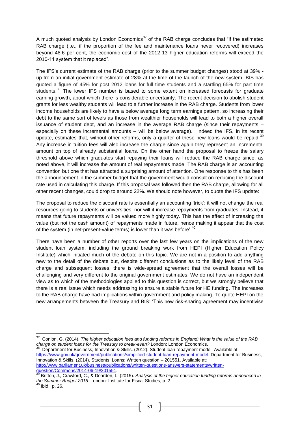A much quoted analysis by London Economics<sup>37</sup> of the RAB charge concludes that "if the estimated RAB charge (i.e., if the proportion of the fee and maintenance loans never recovered) increases beyond 48.6 per cent, the economic cost of the 2012-13 higher education reforms will exceed the 2010-11 system that it replaced".

The IFS's current estimate of the RAB charge (prior to the summer budget changes) stood at 39% up from an initial government estimate of 28% at the time of the launch of the new system. BIS has quoted a figure of 45% for post 2012 loans for full time students and a startling 65% for part time students.<sup>38</sup> The lower IFS number is based to some extent on increased forecasts for graduate earning growth, about which there is considerable uncertainty. The recent decision to abolish student grants for less wealthy students will lead to a further increase in the RAB charge. Students from lower income households are likely to have a below average long term earnings pattern, so increasing their debt to the same sort of levels as those from wealthier households will lead to both a higher overall issuance of student debt, and an increase in the average RAB charge (since their repayments – especially on these incremental amounts – will be below average). Indeed the IFS, in its recent update, estimates that, without other reforms, only a quarter of these new loans would be repaid.<sup>39</sup> Any increase in tuition fees will also increase the charge since again they represent an incremental amount on top of already substantial loans. On the other hand the proposal to freeze the salary threshold above which graduates start repaying their loans will reduce the RAB charge since, as noted above, it will increase the amount of real repayments made. The RAB charge is an accounting convention but one that has attracted a surprising amount of attention. One response to this has been the announcement in the summer budget that the government would consult on reducing the discount rate used in calculating this charge. If this proposal was followed then the RAB charge, allowing for all other recent changes, could drop to around 22%. We should note however, to quote the IFS update:

The proposal to reduce the discount rate is essentially an accounting 'trick': it will not change the real resources going to students or universities; nor will it increase repayments from graduates. Instead, it means that future repayments will be valued more highly today. This has the effect of increasing the value (but not the cash amount) of repayments made in future, hence making it appear that the cost of the system (in net-present-value terms) is lower than it was before'.<sup>40</sup>

There have been a number of other reports over the last few years on the implications of the new student loan system, including the ground breaking work from HEPI (Higher Education Policy Institute) which initiated much of the debate on this topic. We are not in a position to add anything new to the detail of the debate but, despite different conclusions as to the likely level of the RAB charge and subsequent losses, there is wide-spread agreement that the overall losses will be challenging and very different to the original government estimates. We do not have an independent view as to which of the methodologies applied to this question is correct, but we strongly believe that there is a real issue which needs addressing to ensure a stable future for HE funding. The increases to the RAB charge have had implications within government and policy making. To quote HEPI on the new arrangements between the Treasury and BIS: 'This new risk-sharing agreement may incentivise

 37 Conlon, G. (2014). *The higher education fees and funding reforms in England: What is the value of the RAB charge on student loans for the Treasury to break-even?* London: London Economics. 38

Department for Business, Innovation & Skills. (2012). Student loan repayment model. Available at: [https://www.gov.uk/government/publications/simplified-student-loan-repayment-model.](https://www.gov.uk/government/publications/simplified-student-loan-repayment-model) Department for Business, Innovation & Skills. (2014). Students: Loans: Written question – 201551. Available at: [http://www.parliament.uk/business/publications/written-questions-answers-statements/written](http://www.parliament.uk/business/publications/written-questions-answers-statements/written-question/Commons/2014-06-19/201551)[question/Commons/2014-06-19/201551.](http://www.parliament.uk/business/publications/written-questions-answers-statements/written-question/Commons/2014-06-19/201551)

<sup>39</sup> Britton, J., Crawford, C., & Dearden, L. (2015). *Analysis of the higher education funding reforms announced in the Summer Budget 2015*. London: Institute for Fiscal Studies, p. 2.

<sup>40</sup> Ibid., p. 26.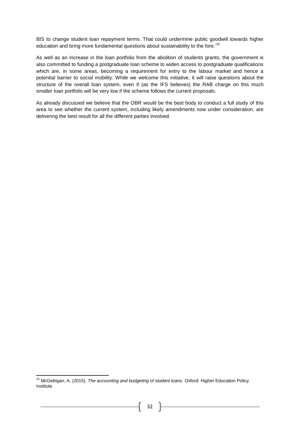BIS to change student loan repayment terms. That could undermine public goodwill towards higher education and bring more fundamental questions about sustainability to the fore.<sup>'41</sup>

As well as an increase in the loan portfolio from the abolition of students grants, the government is also committed to funding a postgraduate loan scheme to widen access to postgraduate qualifications which are, in some areas, becoming a requirement for entry to the labour market and hence a potential barrier to social mobility. While we welcome this initiative, it will raise questions about the structure of the overall loan system, even if (as the IFS believes) the RAB charge on this much smaller loan portfolio will be very low if the scheme follows the current proposals.

As already discussed we believe that the OBR would be the best body to conduct a full study of this area to see whether the current system, including likely amendments now under consideration, are delivering the best result for all the different parties involved.

**<sup>.</sup>** <sup>41</sup> McGettigan, A. (2015). *The accounting and budgeting of student loans*. Oxford: Higher Education Policy Institute.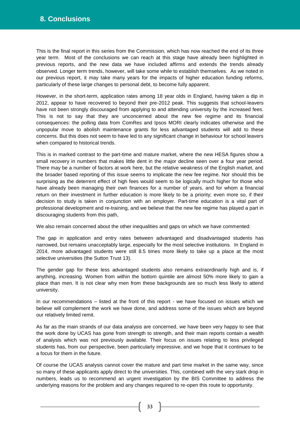This is the final report in this series from the Commission, which has now reached the end of its three year term. Most of the conclusions we can reach at this stage have already been highlighted in previous reports, and the new data we have included affirms and extends the trends already observed. Longer term trends, however, will take some while to establish themselves. As we noted in our previous report, it may take many years for the impacts of higher education funding reforms, particularly of these large changes to personal debt, to become fully apparent.

However, in the short-term, application rates among 18 year olds in England, having taken a dip in 2012, appear to have recovered to beyond their pre-2012 peak. This suggests that school-leavers have not been strongly discouraged from applying to and attending university by the increased fees. This is not to say that they are unconcerned about the new fee regime and its financial consequences: the polling data from ComRes and Ipsos MORI clearly indicates otherwise and the unpopular move to abolish maintenance grants for less advantaged students will add to these concerns. But this does not seem to have led to any significant change in behaviour for school leavers when compared to historical trends.

This is in marked contrast to the part-time and mature market, where the new HESA figures show a small recovery in numbers that makes little dent in the major decline seen over a four year period. There may be a number of factors at work here, but the relative weakness of the English market, and the broader based reporting of this issue seems to implicate the new fee regime. Nor should this be surprising as the deterrent effect of high fees would seem to be logically much higher for those who have already been managing their own finances for a number of years, and for whom a financial return on their investment in further education is more likely to be a priority; even more so, if their decision to study is taken in conjunction with an employer. Part-time education is a vital part of professional development and re-training, and we believe that the new fee regime has played a part in discouraging students from this path,

We also remain concerned about the other inequalities and gaps on which we have commented:

The gap in application and entry rates between advantaged and disadvantaged students has narrowed, but remains unacceptably large, especially for the most selective institutions. In England in 2014, more advantaged students were still 8.5 times more likely to take up a place at the most selective universities (the Sutton Trust 13).

The gender gap for these less advantaged students also remains extraordinarily high and is, if anything, increasing. Women from within the bottom quintile are almost 50% more likely to gain a place than men. It is not clear why men from these backgrounds are so much less likely to attend university.

In our recommendations – listed at the front of this report - we have focused on issues which we believe will complement the work we have done, and address some of the issues which are beyond our relatively limited remit.

As far as the main strands of our data analysis are concerned, we have been very happy to see that the work done by UCAS has gone from strength to strength, and their main reports contain a wealth of analysis which was not previously available. Their focus on issues relating to less privileged students has, from our perspective, been particularly impressive, and we hope that it continues to be a focus for them in the future.

Of course the UCAS analysis cannot cover the mature and part time market in the same way, since so many of these applicants apply direct to the universities. This, combined with the very stark drop in numbers, leads us to recommend an urgent investigation by the BIS Committee to address the underlying reasons for the problem and any changes required to re-open this route to opportunity.